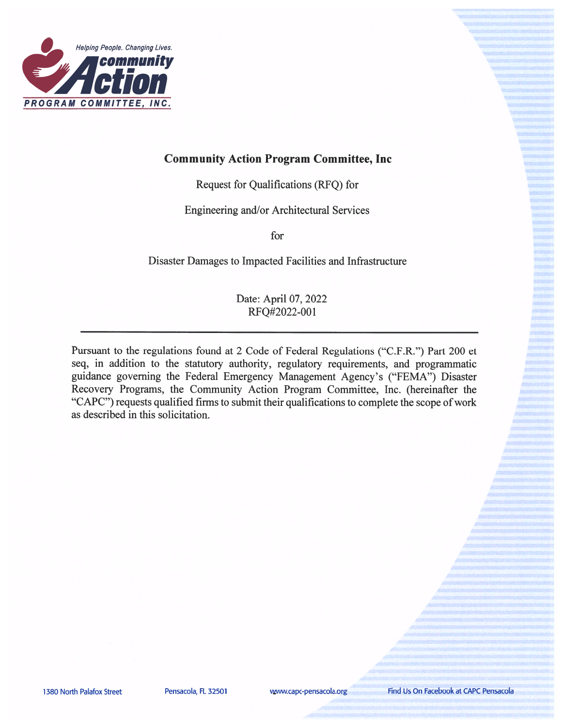

## **Community Action Program Committee, Inc.**

Request for Qualifications (RFQ) for

Engineering and/or Architectural Services

for

Disaster Damages to Impacted Facilities and Infrastructure

#### Date: April 07, 2022 RFQ#2022-001

Pursuant to the regulations found at 2 Code of Federal Regulations ("C.F.R.") Part 200 et seq, in addition to the statutory authority, regulatory requirements, and programmatic guidance governing the Federal Emergency Management Agency's ("FEMA") Disaster Recovery Programs, the Community Action Program Committee, Inc. (hereinafter the "CAPC") requests qualified firms to submit their qualifications to complete the scope of work as described in this solicitation.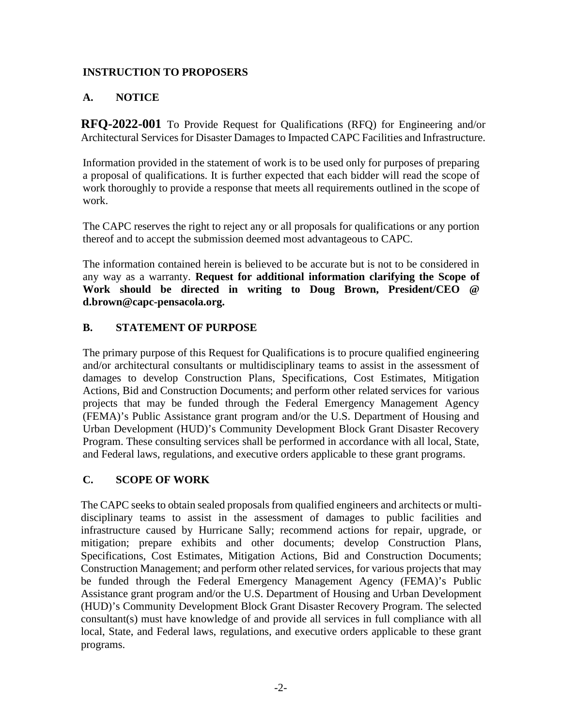#### **INSTRUCTION TO PROPOSERS**

## **A. NOTICE**

**RFQ-2022-001** To Provide Request for Qualifications (RFQ) for Engineering and/or Architectural Services for Disaster Damages to Impacted CAPC Facilities and Infrastructure.

Information provided in the statement of work is to be used only for purposes of preparing a proposal of qualifications. It is further expected that each bidder will read the scope of work thoroughly to provide a response that meets all requirements outlined in the scope of work.

The CAPC reserves the right to reject any or all proposals for qualifications or any portion thereof and to accept the submission deemed most advantageous to CAPC.

The information contained herein is believed to be accurate but is not to be considered in any way as a warranty. **Request for additional information clarifying the Scope of Work should be directed in writing to Doug Brown, President/CEO @ d.brown@capc-pensacola.org.**

### **B. STATEMENT OF PURPOSE**

The primary purpose of this Request for Qualifications is to procure qualified engineering and/or architectural consultants or multidisciplinary teams to assist in the assessment of damages to develop Construction Plans, Specifications, Cost Estimates, Mitigation Actions, Bid and Construction Documents; and perform other related services for various projects that may be funded through the Federal Emergency Management Agency (FEMA)'s Public Assistance grant program and/or the U.S. Department of Housing and Urban Development (HUD)'s Community Development Block Grant Disaster Recovery Program. These consulting services shall be performed in accordance with all local, State, and Federal laws, regulations, and executive orders applicable to these grant programs.

### **C. SCOPE OF WORK**

The CAPC seeks to obtain sealed proposals from qualified engineers and architects or multidisciplinary teams to assist in the assessment of damages to public facilities and infrastructure caused by Hurricane Sally; recommend actions for repair, upgrade, or mitigation; prepare exhibits and other documents; develop Construction Plans, Specifications, Cost Estimates, Mitigation Actions, Bid and Construction Documents; Construction Management; and perform other related services, for various projects that may be funded through the Federal Emergency Management Agency (FEMA)'s Public Assistance grant program and/or the U.S. Department of Housing and Urban Development (HUD)'s Community Development Block Grant Disaster Recovery Program. The selected consultant(s) must have knowledge of and provide all services in full compliance with all local, State, and Federal laws, regulations, and executive orders applicable to these grant programs.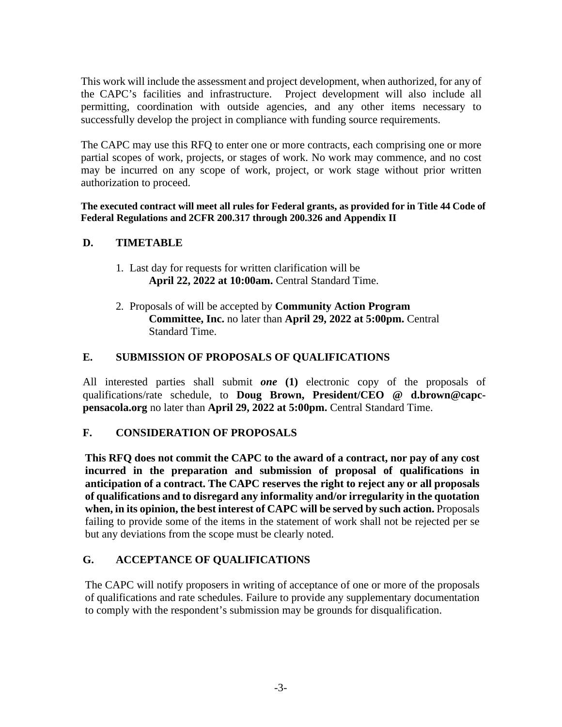This work will include the assessment and project development, when authorized, for any of the CAPC's facilities and infrastructure. Project development will also include all permitting, coordination with outside agencies, and any other items necessary to successfully develop the project in compliance with funding source requirements.

The CAPC may use this RFQ to enter one or more contracts, each comprising one or more partial scopes of work, projects, or stages of work. No work may commence, and no cost may be incurred on any scope of work, project, or work stage without prior written authorization to proceed.

**The executed contract will meet all rules for Federal grants, as provided for in Title 44 Code of Federal Regulations and 2CFR 200.317 through 200.326 and Appendix II**

#### **D. TIMETABLE**

- 1. Last day for requests for written clarification will be **April 22, 2022 at 10:00am.** Central Standard Time.
- 2. Proposals of will be accepted by **Community Action Program Committee, Inc.** no later than **April 29, 2022 at 5:00pm.** Central Standard Time.

#### **E. SUBMISSION OF PROPOSALS OF QUALIFICATIONS**

All interested parties shall submit *one* **(1)** electronic copy of the proposals of qualifications/rate schedule, to **Doug Brown, President/CEO @ d.brown@capcpensacola.org** no later than **April 29, 2022 at 5:00pm.** Central Standard Time.

#### **F. CONSIDERATION OF PROPOSALS**

**This RFQ does not commit the CAPC to the award of a contract, nor pay of any cost incurred in the preparation and submission of proposal of qualifications in anticipation of a contract. The CAPC reserves the right to reject any or all proposals of qualifications and to disregard any informality and/or irregularity in the quotation when, in its opinion, the best interest of CAPC will be served by such action.** Proposals failing to provide some of the items in the statement of work shall not be rejected per se but any deviations from the scope must be clearly noted.

### **G. ACCEPTANCE OF QUALIFICATIONS**

The CAPC will notify proposers in writing of acceptance of one or more of the proposals of qualifications and rate schedules. Failure to provide any supplementary documentation to comply with the respondent's submission may be grounds for disqualification.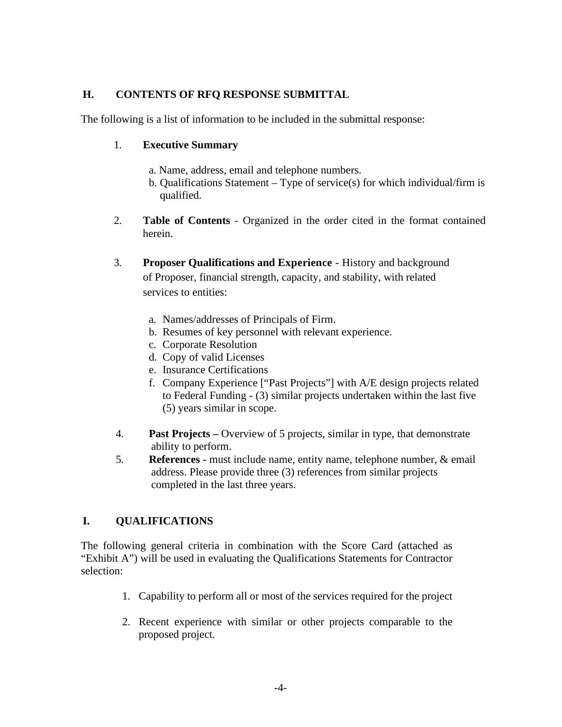#### **H. CONTENTS OF RFQ RESPONSE SUBMITTAL**

The following is a list of information to be included in the submittal response:

#### 1. **Executive Summary**

- a. Name, address, email and telephone numbers.
- b. Qualifications Statement Type of service(s) for which individual/firm is qualified.
- 2. **Table of Contents** Organized in the order cited in the format contained herein.
- 3. **Proposer Qualifications and Experience** History and background of Proposer, financial strength, capacity, and stability, with related services to entities:
	- a. Names/addresses of Principals of Firm.
	- b. Resumes of key personnel with relevant experience.
	- c. Corporate Resolution
	- d. Copy of valid Licenses
	- e. Insurance Certifications
	- f. Company Experience ["Past Projects"] with A/E design projects related to Federal Funding - (3) similar projects undertaken within the last five (5) years similar in scope.
- 4. **Past Projects –** Overview of 5 projects, similar in type, that demonstrate ability to perform.
- 5. **References -** must include name, entity name, telephone number, & email address. Please provide three (3) references from similar projects completed in the last three years.

# **I. QUALIFICATIONS**

The following general criteria in combination with the Score Card (attached as "Exhibit A") will be used in evaluating the Qualifications Statements for Contractor selection:

- 1. Capability to perform all or most of the services required for the project
- 2. Recent experience with similar or other projects comparable to the proposed project.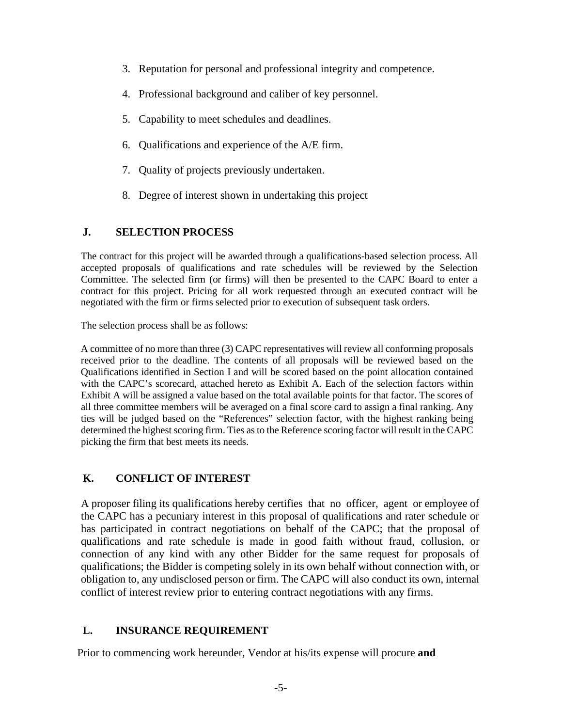- 3. Reputation for personal and professional integrity and competence.
- 4. Professional background and caliber of key personnel.
- 5. Capability to meet schedules and deadlines.
- 6. Qualifications and experience of the A/E firm.
- 7. Quality of projects previously undertaken.
- 8. Degree of interest shown in undertaking this project

#### **J. SELECTION PROCESS**

The contract for this project will be awarded through a qualifications-based selection process. All accepted proposals of qualifications and rate schedules will be reviewed by the Selection Committee. The selected firm (or firms) will then be presented to the CAPC Board to enter a contract for this project. Pricing for all work requested through an executed contract will be negotiated with the firm or firms selected prior to execution of subsequent task orders.

The selection process shall be as follows:

A committee of no more than three (3) CAPC representatives will review all conforming proposals received prior to the deadline. The contents of all proposals will be reviewed based on the Qualifications identified in Section I and will be scored based on the point allocation contained with the CAPC's scorecard, attached hereto as Exhibit A. Each of the selection factors within Exhibit A will be assigned a value based on the total available points for that factor. The scores of all three committee members will be averaged on a final score card to assign a final ranking. Any ties will be judged based on the "References" selection factor, with the highest ranking being determined the highest scoring firm. Ties as to the Reference scoring factor will result in the CAPC picking the firm that best meets its needs.

#### **K. CONFLICT OF INTEREST**

A proposer filing its qualifications hereby certifies that no officer, agent or employee of the CAPC has a pecuniary interest in this proposal of qualifications and rater schedule or has participated in contract negotiations on behalf of the CAPC; that the proposal of qualifications and rate schedule is made in good faith without fraud, collusion, or connection of any kind with any other Bidder for the same request for proposals of qualifications; the Bidder is competing solely in its own behalf without connection with, or obligation to, any undisclosed person or firm. The CAPC will also conduct its own, internal conflict of interest review prior to entering contract negotiations with any firms.

#### **L. INSURANCE REQUIREMENT**

Prior to commencing work hereunder, Vendor at his/its expense will procure **and**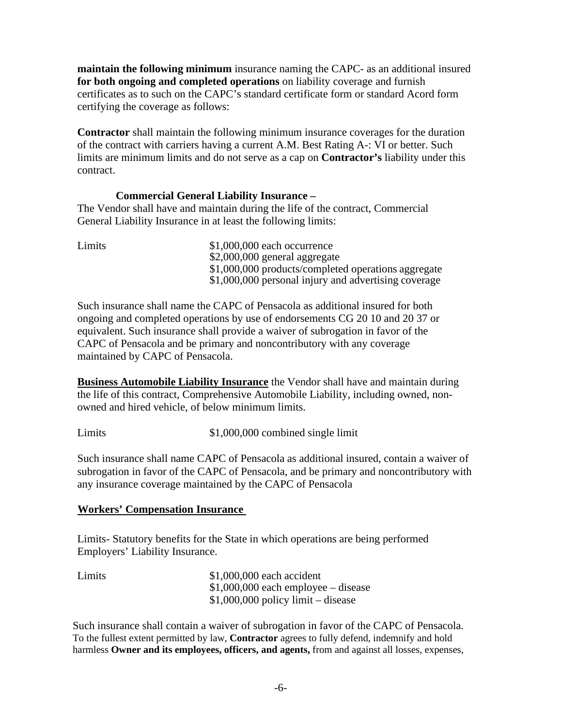**maintain the following minimum** insurance naming the CAPC- as an additional insured **for both ongoing and completed operations** on liability coverage and furnish certificates as to such on the CAPC's standard certificate form or standard Acord form certifying the coverage as follows:

**Contractor** shall maintain the following minimum insurance coverages for the duration of the contract with carriers having a current A.M. Best Rating A-: VI or better. Such limits are minimum limits and do not serve as a cap on **Contractor's** liability under this contract.

#### **Commercial General Liability Insurance –**

The Vendor shall have and maintain during the life of the contract, Commercial General Liability Insurance in at least the following limits:

Limits  $$1,000,000$  each occurrence \$2,000,000 general aggregate \$1,000,000 products/completed operations aggregate \$1,000,000 personal injury and advertising coverage

Such insurance shall name the CAPC of Pensacola as additional insured for both ongoing and completed operations by use of endorsements CG 20 10 and 20 37 or equivalent. Such insurance shall provide a waiver of subrogation in favor of the CAPC of Pensacola and be primary and noncontributory with any coverage maintained by CAPC of Pensacola.

**Business Automobile Liability Insurance** the Vendor shall have and maintain during the life of this contract, Comprehensive Automobile Liability, including owned, nonowned and hired vehicle, of below minimum limits.

Limits  $$1,000,000$  combined single limit

Such insurance shall name CAPC of Pensacola as additional insured, contain a waiver of subrogation in favor of the CAPC of Pensacola, and be primary and noncontributory with any insurance coverage maintained by the CAPC of Pensacola

#### **Workers' Compensation Insurance**

Limits- Statutory benefits for the State in which operations are being performed Employers' Liability Insurance.

| Limits | $$1,000,000$ each accident           |
|--------|--------------------------------------|
|        | $$1,000,000$ each employee – disease |
|        | $$1,000,000$ policy limit – disease  |

Such insurance shall contain a waiver of subrogation in favor of the CAPC of Pensacola. To the fullest extent permitted by law, **Contractor** agrees to fully defend, indemnify and hold harmless **Owner and its employees, officers, and agents,** from and against all losses, expenses,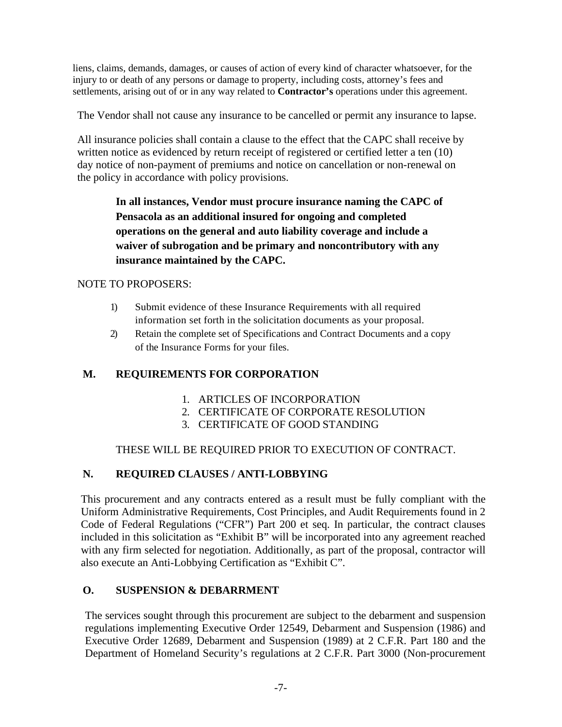liens, claims, demands, damages, or causes of action of every kind of character whatsoever, for the injury to or death of any persons or damage to property, including costs, attorney's fees and settlements, arising out of or in any way related to **Contractor's** operations under this agreement.

The Vendor shall not cause any insurance to be cancelled or permit any insurance to lapse.

All insurance policies shall contain a clause to the effect that the CAPC shall receive by written notice as evidenced by return receipt of registered or certified letter a ten (10) day notice of non-payment of premiums and notice on cancellation or non-renewal on the policy in accordance with policy provisions.

> **In all instances, Vendor must procure insurance naming the CAPC of Pensacola as an additional insured for ongoing and completed operations on the general and auto liability coverage and include a waiver of subrogation and be primary and noncontributory with any insurance maintained by the CAPC.**

#### NOTE TO PROPOSERS:

- 1) Submit evidence of these Insurance Requirements with all required information set forth in the solicitation documents as your proposal.
- 2) Retain the complete set of Specifications and Contract Documents and a copy of the Insurance Forms for your files.

### **M. REQUIREMENTS FOR CORPORATION**

- 1. ARTICLES OF INCORPORATION
- 2. CERTIFICATE OF CORPORATE RESOLUTION
- 3. CERTIFICATE OF GOOD STANDING

#### THESE WILL BE REQUIRED PRIOR TO EXECUTION OF CONTRACT.

#### **N. REQUIRED CLAUSES / ANTI-LOBBYING**

This procurement and any contracts entered as a result must be fully compliant with the Uniform Administrative Requirements, Cost Principles, and Audit Requirements found in 2 Code of Federal Regulations ("CFR") Part 200 et seq. In particular, the contract clauses included in this solicitation as "Exhibit B" will be incorporated into any agreement reached with any firm selected for negotiation. Additionally, as part of the proposal, contractor will also execute an Anti-Lobbying Certification as "Exhibit C".

#### **O. SUSPENSION & DEBARRMENT**

The services sought through this procurement are subject to the debarment and suspension regulations implementing Executive Order 12549, Debarment and Suspension (1986) and Executive Order 12689, Debarment and Suspension (1989) at 2 C.F.R. Part 180 and the Department of Homeland Security's regulations at 2 C.F.R. Part 3000 (Non-procurement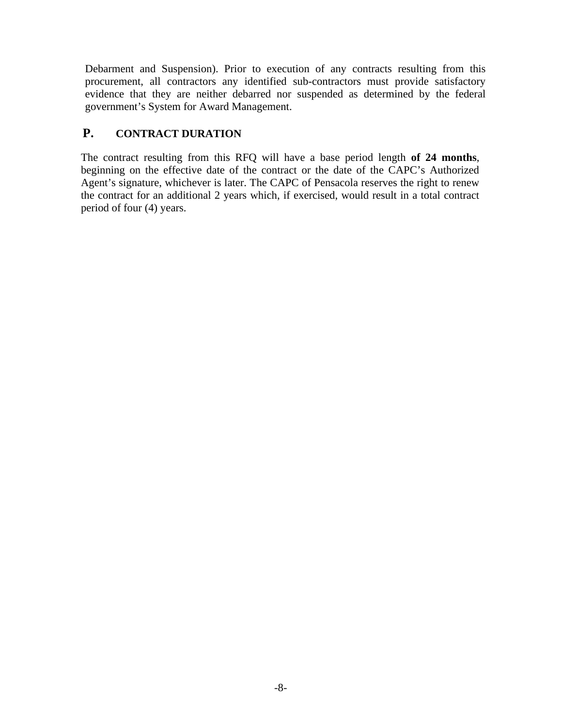Debarment and Suspension). Prior to execution of any contracts resulting from this procurement, all contractors any identified sub-contractors must provide satisfactory evidence that they are neither debarred nor suspended as determined by the federal government's System for Award Management.

## **P. CONTRACT DURATION**

The contract resulting from this RFQ will have a base period length **of 24 months**, beginning on the effective date of the contract or the date of the CAPC's Authorized Agent's signature, whichever is later. The CAPC of Pensacola reserves the right to renew the contract for an additional 2 years which, if exercised, would result in a total contract period of four (4) years.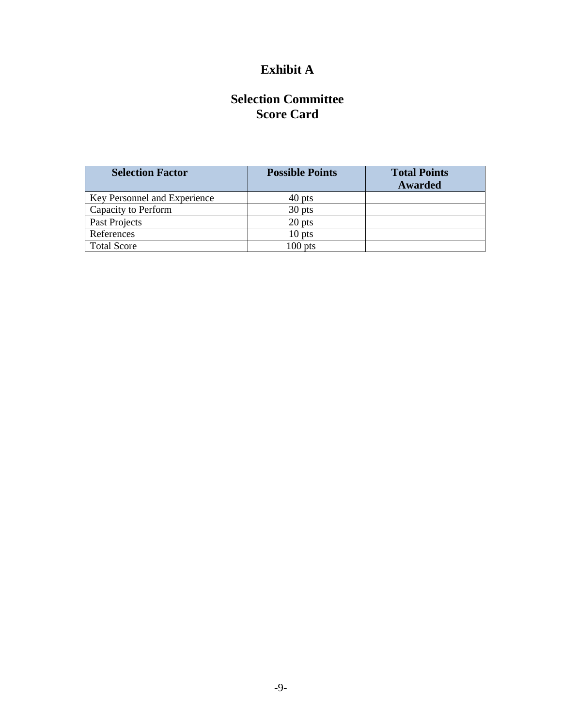# **Exhibit A**

# **Selection Committee Score Card**

| <b>Selection Factor</b>      | <b>Possible Points</b> | <b>Total Points</b><br><b>Awarded</b> |
|------------------------------|------------------------|---------------------------------------|
| Key Personnel and Experience | 40 pts                 |                                       |
| Capacity to Perform          | 30 pts                 |                                       |
| Past Projects                | 20 pts                 |                                       |
| References                   | $10$ pts               |                                       |
| <b>Total Score</b>           | $100$ pts              |                                       |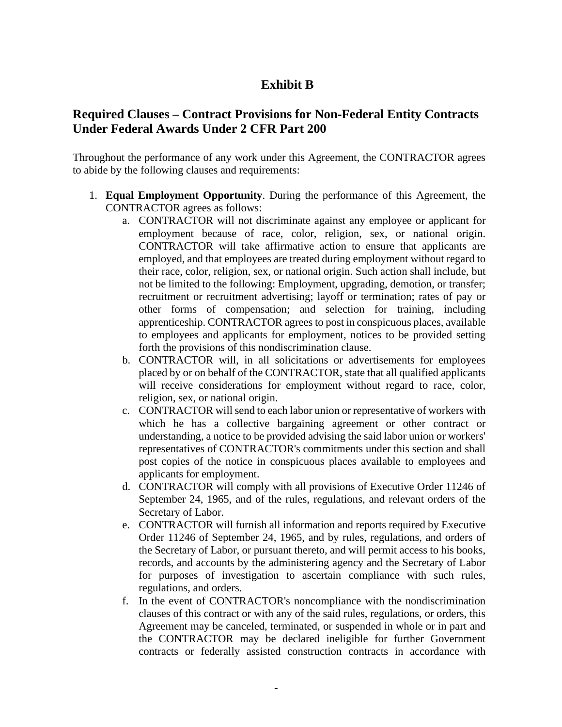# **Exhibit B**

# **Required Clauses – Contract Provisions for Non-Federal Entity Contracts Under Federal Awards Under 2 CFR Part 200**

Throughout the performance of any work under this Agreement, the CONTRACTOR agrees to abide by the following clauses and requirements:

- 1. **Equal Employment Opportunity**. During the performance of this Agreement, the CONTRACTOR agrees as follows:
	- a. CONTRACTOR will not discriminate against any employee or applicant for employment because of race, color, religion, sex, or national origin. CONTRACTOR will take affirmative action to ensure that applicants are employed, and that employees are treated during employment without regard to their race, color, religion, sex, or national origin. Such action shall include, but not be limited to the following: Employment, upgrading, demotion, or transfer; recruitment or recruitment advertising; layoff or termination; rates of pay or other forms of compensation; and selection for training, including apprenticeship. CONTRACTOR agrees to post in conspicuous places, available to employees and applicants for employment, notices to be provided setting forth the provisions of this nondiscrimination clause.
	- b. CONTRACTOR will, in all solicitations or advertisements for employees placed by or on behalf of the CONTRACTOR, state that all qualified applicants will receive considerations for employment without regard to race, color, religion, sex, or national origin.
	- c. CONTRACTOR will send to each labor union or representative of workers with which he has a collective bargaining agreement or other contract or understanding, a notice to be provided advising the said labor union or workers' representatives of CONTRACTOR's commitments under this section and shall post copies of the notice in conspicuous places available to employees and applicants for employment.
	- d. CONTRACTOR will comply with all provisions of Executive Order 11246 of September 24, 1965, and of the rules, regulations, and relevant orders of the Secretary of Labor.
	- e. CONTRACTOR will furnish all information and reports required by Executive Order 11246 of September 24, 1965, and by rules, regulations, and orders of the Secretary of Labor, or pursuant thereto, and will permit access to his books, records, and accounts by the administering agency and the Secretary of Labor for purposes of investigation to ascertain compliance with such rules, regulations, and orders.
	- f. In the event of CONTRACTOR's noncompliance with the nondiscrimination clauses of this contract or with any of the said rules, regulations, or orders, this Agreement may be canceled, terminated, or suspended in whole or in part and the CONTRACTOR may be declared ineligible for further Government contracts or federally assisted construction contracts in accordance with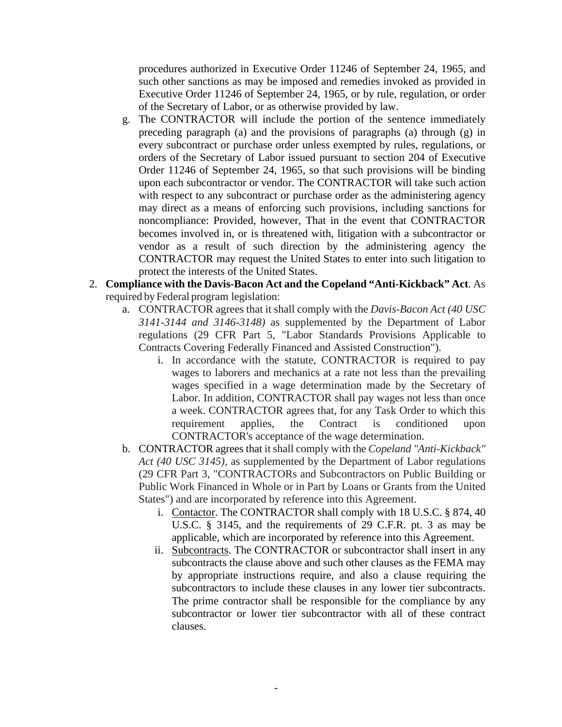procedures authorized in Executive Order 11246 of September 24, 1965, and such other sanctions as may be imposed and remedies invoked as provided in Executive Order 11246 of September 24, 1965, or by rule, regulation, or order of the Secretary of Labor, or as otherwise provided by law.

- g. The CONTRACTOR will include the portion of the sentence immediately preceding paragraph (a) and the provisions of paragraphs (a) through (g) in every subcontract or purchase order unless exempted by rules, regulations, or orders of the Secretary of Labor issued pursuant to section 204 of Executive Order 11246 of September 24, 1965, so that such provisions will be binding upon each subcontractor or vendor. The CONTRACTOR will take such action with respect to any subcontract or purchase order as the administering agency may direct as a means of enforcing such provisions, including sanctions for noncompliance: Provided, however, That in the event that CONTRACTOR becomes involved in, or is threatened with, litigation with a subcontractor or vendor as a result of such direction by the administering agency the CONTRACTOR may request the United States to enter into such litigation to protect the interests of the United States.
- 2. **Compliance with the Davis-Bacon Act and the Copeland "Anti-Kickback" Act**. As required by Federal program legislation:
	- a. CONTRACTOR agrees that it shall comply with the *Davis-Bacon Act (40 USC 3141-3144 and 3146-3148)* as supplemented by the Department of Labor regulations (29 CFR Part 5, "Labor Standards Provisions Applicable to Contracts Covering Federally Financed and Assisted Construction").
		- i. In accordance with the statute, CONTRACTOR is required to pay wages to laborers and mechanics at a rate not less than the prevailing wages specified in a wage determination made by the Secretary of Labor. In addition, CONTRACTOR shall pay wages not less than once a week. CONTRACTOR agrees that, for any Task Order to which this requirement applies, the Contract is conditioned upon CONTRACTOR's acceptance of the wage determination.
	- b. CONTRACTOR agrees that it shall comply with the *Copeland "Anti-Kickback" Act (40 USC 3145),* as supplemented by the Department of Labor regulations (29 CFR Part 3, "CONTRACTORs and Subcontractors on Public Building or Public Work Financed in Whole or in Part by Loans or Grants from the United States") and are incorporated by reference into this Agreement.
		- i. Contactor. The CONTRACTOR shall comply with 18 U.S.C. § 874, 40 U.S.C. § 3145, and the requirements of 29 C.F.R. pt. 3 as may be applicable, which are incorporated by reference into this Agreement.
		- ii. Subcontracts. The CONTRACTOR or subcontractor shall insert in any subcontracts the clause above and such other clauses as the FEMA may by appropriate instructions require, and also a clause requiring the subcontractors to include these clauses in any lower tier subcontracts. The prime contractor shall be responsible for the compliance by any subcontractor or lower tier subcontractor with all of these contract clauses.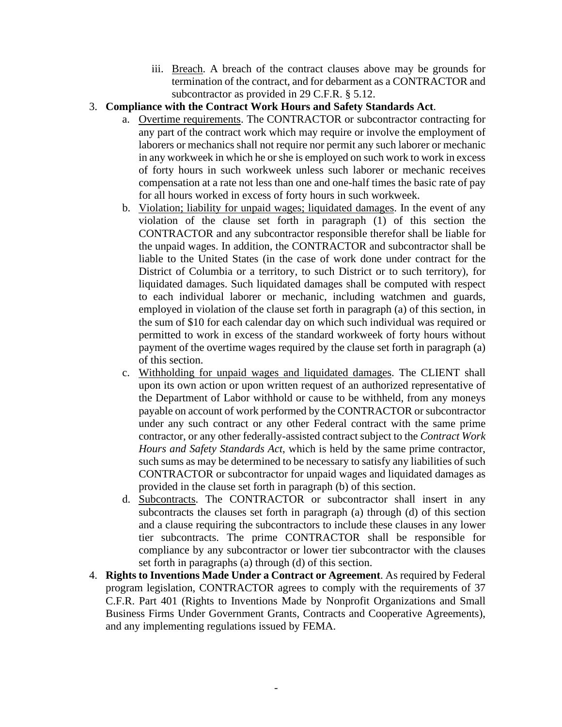- iii. Breach. A breach of the contract clauses above may be grounds for termination of the contract, and for debarment as a CONTRACTOR and subcontractor as provided in 29 C.F.R. § 5.12.
- 3. **Compliance with the Contract Work Hours and Safety Standards Act**.
	- a. Overtime requirements. The CONTRACTOR or subcontractor contracting for any part of the contract work which may require or involve the employment of laborers or mechanics shall not require nor permit any such laborer or mechanic in any workweek in which he or she is employed on such work to work in excess of forty hours in such workweek unless such laborer or mechanic receives compensation at a rate not less than one and one-half times the basic rate of pay for all hours worked in excess of forty hours in such workweek.
	- b. Violation; liability for unpaid wages; liquidated damages. In the event of any violation of the clause set forth in paragraph (1) of this section the CONTRACTOR and any subcontractor responsible therefor shall be liable for the unpaid wages. In addition, the CONTRACTOR and subcontractor shall be liable to the United States (in the case of work done under contract for the District of Columbia or a territory, to such District or to such territory), for liquidated damages. Such liquidated damages shall be computed with respect to each individual laborer or mechanic, including watchmen and guards, employed in violation of the clause set forth in paragraph (a) of this section, in the sum of \$10 for each calendar day on which such individual was required or permitted to work in excess of the standard workweek of forty hours without payment of the overtime wages required by the clause set forth in paragraph (a) of this section.
	- c. Withholding for unpaid wages and liquidated damages. The CLIENT shall upon its own action or upon written request of an authorized representative of the Department of Labor withhold or cause to be withheld, from any moneys payable on account of work performed by the CONTRACTOR or subcontractor under any such contract or any other Federal contract with the same prime contractor, or any other federally-assisted contract subject to the *Contract Work Hours and Safety Standards Act*, which is held by the same prime contractor, such sums as may be determined to be necessary to satisfy any liabilities of such CONTRACTOR or subcontractor for unpaid wages and liquidated damages as provided in the clause set forth in paragraph (b) of this section.
	- d. Subcontracts. The CONTRACTOR or subcontractor shall insert in any subcontracts the clauses set forth in paragraph (a) through (d) of this section and a clause requiring the subcontractors to include these clauses in any lower tier subcontracts. The prime CONTRACTOR shall be responsible for compliance by any subcontractor or lower tier subcontractor with the clauses set forth in paragraphs (a) through (d) of this section.
- 4. **Rights to Inventions Made Under a Contract or Agreement**. As required by Federal program legislation, CONTRACTOR agrees to comply with the requirements of 37 C.F.R. Part 401 (Rights to Inventions Made by Nonprofit Organizations and Small Business Firms Under Government Grants, Contracts and Cooperative Agreements), and any implementing regulations issued by FEMA.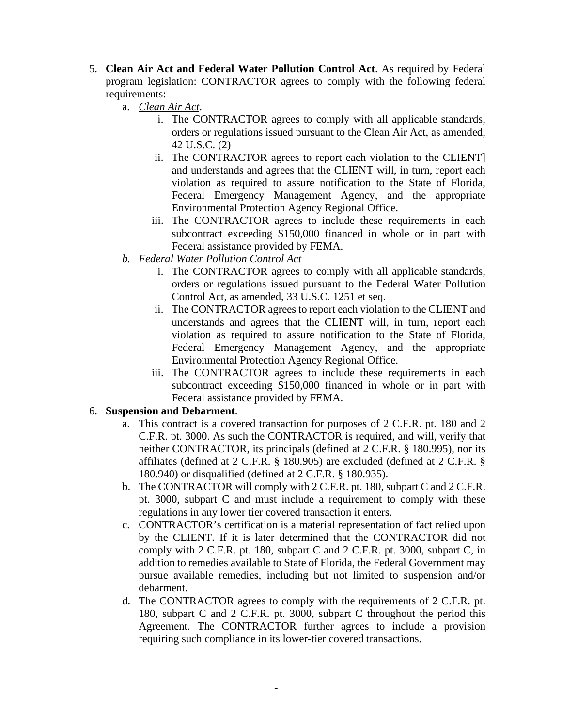- 5. **Clean Air Act and Federal Water Pollution Control Act**. As required by Federal program legislation: CONTRACTOR agrees to comply with the following federal requirements:
	- a. *Clean Air Act*.
		- i. The CONTRACTOR agrees to comply with all applicable standards, orders or regulations issued pursuant to the Clean Air Act, as amended, 42 U.S.C. (2)
		- ii. The CONTRACTOR agrees to report each violation to the CLIENT] and understands and agrees that the CLIENT will, in turn, report each violation as required to assure notification to the State of Florida, Federal Emergency Management Agency, and the appropriate Environmental Protection Agency Regional Office.
		- iii. The CONTRACTOR agrees to include these requirements in each subcontract exceeding \$150,000 financed in whole or in part with Federal assistance provided by FEMA.
	- *b. Federal Water Pollution Control Act* 
		- i. The CONTRACTOR agrees to comply with all applicable standards, orders or regulations issued pursuant to the Federal Water Pollution Control Act, as amended, 33 U.S.C. 1251 et seq.
		- ii. The CONTRACTOR agrees to report each violation to the CLIENT and understands and agrees that the CLIENT will, in turn, report each violation as required to assure notification to the State of Florida, Federal Emergency Management Agency, and the appropriate Environmental Protection Agency Regional Office.
		- iii. The CONTRACTOR agrees to include these requirements in each subcontract exceeding \$150,000 financed in whole or in part with Federal assistance provided by FEMA.

#### 6. **Suspension and Debarment**.

- a. This contract is a covered transaction for purposes of 2 C.F.R. pt. 180 and 2 C.F.R. pt. 3000. As such the CONTRACTOR is required, and will, verify that neither CONTRACTOR, its principals (defined at 2 C.F.R. § 180.995), nor its affiliates (defined at 2 C.F.R. § 180.905) are excluded (defined at 2 C.F.R. § 180.940) or disqualified (defined at 2 C.F.R. § 180.935).
- b. The CONTRACTOR will comply with 2 C.F.R. pt. 180, subpart C and 2 C.F.R. pt. 3000, subpart C and must include a requirement to comply with these regulations in any lower tier covered transaction it enters.
- c. CONTRACTOR's certification is a material representation of fact relied upon by the CLIENT. If it is later determined that the CONTRACTOR did not comply with 2 C.F.R. pt. 180, subpart C and 2 C.F.R. pt. 3000, subpart C, in addition to remedies available to State of Florida, the Federal Government may pursue available remedies, including but not limited to suspension and/or debarment.
- d. The CONTRACTOR agrees to comply with the requirements of 2 C.F.R. pt. 180, subpart C and 2 C.F.R. pt. 3000, subpart C throughout the period this Agreement. The CONTRACTOR further agrees to include a provision requiring such compliance in its lower-tier covered transactions.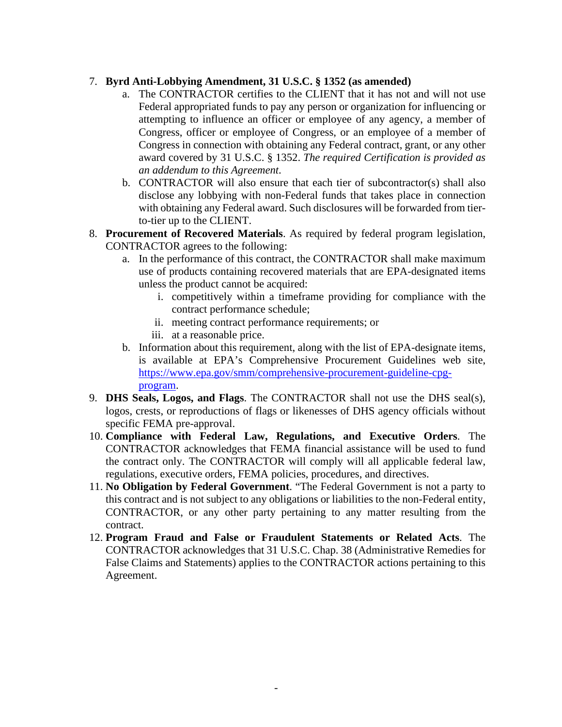#### 7. **Byrd Anti-Lobbying Amendment, 31 U.S.C. § 1352 (as amended)**

- a. The CONTRACTOR certifies to the CLIENT that it has not and will not use Federal appropriated funds to pay any person or organization for influencing or attempting to influence an officer or employee of any agency, a member of Congress, officer or employee of Congress, or an employee of a member of Congress in connection with obtaining any Federal contract, grant, or any other award covered by 31 U.S.C. § 1352. *The required Certification is provided as an addendum to this Agreement*.
- b. CONTRACTOR will also ensure that each tier of subcontractor(s) shall also disclose any lobbying with non-Federal funds that takes place in connection with obtaining any Federal award. Such disclosures will be forwarded from tierto-tier up to the CLIENT.
- 8. **Procurement of Recovered Materials**. As required by federal program legislation, CONTRACTOR agrees to the following:
	- a. In the performance of this contract, the CONTRACTOR shall make maximum use of products containing recovered materials that are EPA-designated items unless the product cannot be acquired:
		- i. competitively within a timeframe providing for compliance with the contract performance schedule;
		- ii. meeting contract performance requirements; or
		- iii. at a reasonable price.
	- b. Information about this requirement, along with the list of EPA-designate items, is available at EPA's Comprehensive Procurement Guidelines web site, [https://www.epa.gov/smm/comprehensive-procurement-guideline-cpg](https://www.epa.gov/smm/comprehensive-procurement-guideline-cpg-program)[program.](https://www.epa.gov/smm/comprehensive-procurement-guideline-cpg-program)
- 9. **DHS Seals, Logos, and Flags**. The CONTRACTOR shall not use the DHS seal(s), logos, crests, or reproductions of flags or likenesses of DHS agency officials without specific FEMA pre-approval.
- 10. **Compliance with Federal Law, Regulations, and Executive Orders**. The CONTRACTOR acknowledges that FEMA financial assistance will be used to fund the contract only. The CONTRACTOR will comply will all applicable federal law, regulations, executive orders, FEMA policies, procedures, and directives.
- 11. **No Obligation by Federal Government**. "The Federal Government is not a party to this contract and is not subject to any obligations or liabilities to the non-Federal entity, CONTRACTOR, or any other party pertaining to any matter resulting from the contract.
- 12. **Program Fraud and False or Fraudulent Statements or Related Acts**. The CONTRACTOR acknowledges that 31 U.S.C. Chap. 38 (Administrative Remedies for False Claims and Statements) applies to the CONTRACTOR actions pertaining to this Agreement.